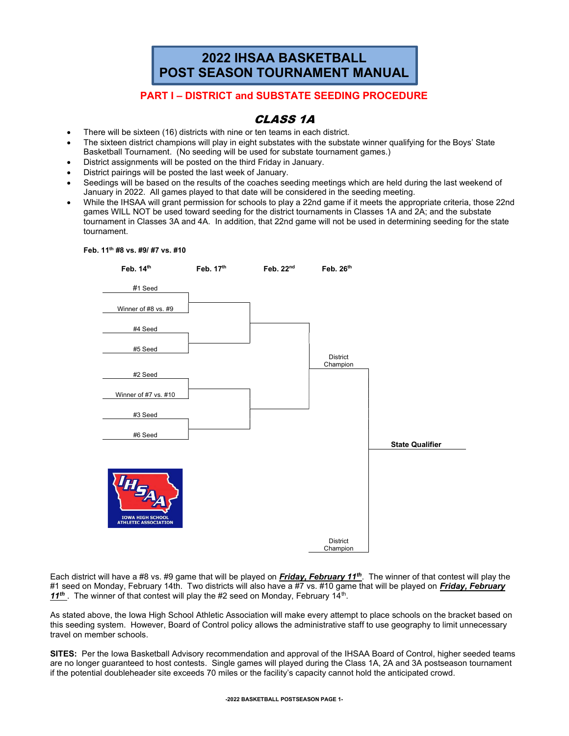# 2022 IHSAA BASKETBALL POST SEASON TOURNAMENT MANUAL

## PART I – DISTRICT and SUBSTATE SEEDING PROCEDURE

## CLASS 1A

- There will be sixteen (16) districts with nine or ten teams in each district.
- The sixteen district champions will play in eight substates with the substate winner qualifying for the Boys' State Basketball Tournament. (No seeding will be used for substate tournament games.)
- District assignments will be posted on the third Friday in January.
- District pairings will be posted the last week of January.
- Seedings will be based on the results of the coaches seeding meetings which are held during the last weekend of January in 2022. All games played to that date will be considered in the seeding meeting.
- While the IHSAA will grant permission for schools to play a 22nd game if it meets the appropriate criteria, those 22nd games WILL NOT be used toward seeding for the district tournaments in Classes 1A and 2A; and the substate tournament in Classes 3A and 4A. In addition, that 22nd game will not be used in determining seeding for the state tournament.



Feb. 11th #8 vs. #9/ #7 vs. #10

Each district will have a #8 vs. #9 game that will be played on *Friday, February 11<sup>th</sup>*. The winner of that contest will play the #1 seed on Monday, February 14th. Two districts will also have a #7 vs. #10 game that will be played on Friday, February 11<sup>th</sup>. The winner of that contest will play the #2 seed on Monday, February 14<sup>th</sup>.

As stated above, the Iowa High School Athletic Association will make every attempt to place schools on the bracket based on this seeding system. However, Board of Control policy allows the administrative staff to use geography to limit unnecessary travel on member schools.

SITES: Per the Iowa Basketball Advisory recommendation and approval of the IHSAA Board of Control, higher seeded teams are no longer guaranteed to host contests. Single games will played during the Class 1A, 2A and 3A postseason tournament if the potential doubleheader site exceeds 70 miles or the facility's capacity cannot hold the anticipated crowd.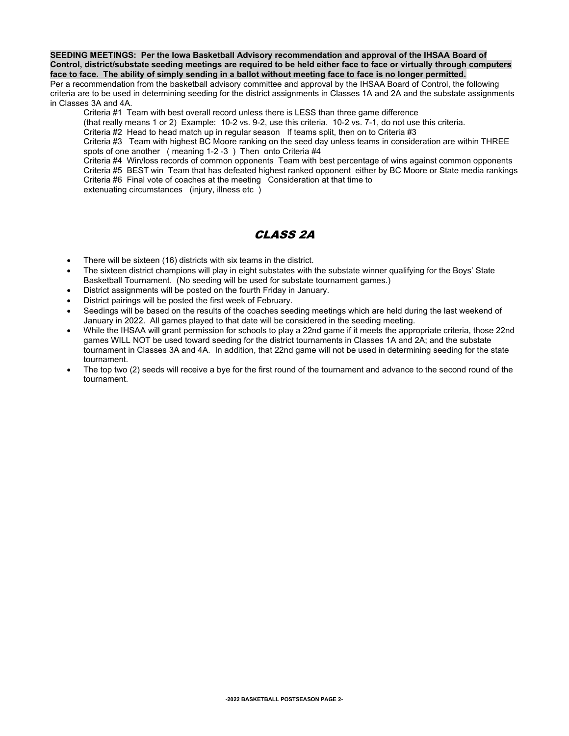SEEDING MEETINGS: Per the Iowa Basketball Advisory recommendation and approval of the IHSAA Board of Control, district/substate seeding meetings are required to be held either face to face or virtually through computers face to face. The ability of simply sending in a ballot without meeting face to face is no longer permitted.

Per a recommendation from the basketball advisory committee and approval by the IHSAA Board of Control, the following criteria are to be used in determining seeding for the district assignments in Classes 1A and 2A and the substate assignments in Classes 3A and 4A.

Criteria #1 Team with best overall record unless there is LESS than three game difference

(that really means 1 or 2) Example: 10-2 vs. 9-2, use this criteria. 10-2 vs. 7-1, do not use this criteria.

Criteria  $#2$  Head to head match up in regular season If teams split, then on to Criteria  $#3$ 

Criteria #3 Team with highest BC Moore ranking on the seed day unless teams in consideration are within THREE spots of one another ( meaning 1-2 -3 ) Then onto Criteria #4

Criteria #4 Win/loss records of common opponents Team with best percentage of wins against common opponents Criteria #5 BEST win Team that has defeated highest ranked opponent either by BC Moore or State media rankings Criteria #6 Final vote of coaches at the meeting Consideration at that time to

extenuating circumstances (injury, illness etc)

## CLASS 2A

- There will be sixteen (16) districts with six teams in the district.
- The sixteen district champions will play in eight substates with the substate winner qualifying for the Boys' State Basketball Tournament. (No seeding will be used for substate tournament games.)
- District assignments will be posted on the fourth Friday in January.
- District pairings will be posted the first week of February.
- Seedings will be based on the results of the coaches seeding meetings which are held during the last weekend of January in 2022. All games played to that date will be considered in the seeding meeting.
- While the IHSAA will grant permission for schools to play a 22nd game if it meets the appropriate criteria, those 22nd games WILL NOT be used toward seeding for the district tournaments in Classes 1A and 2A; and the substate tournament in Classes 3A and 4A. In addition, that 22nd game will not be used in determining seeding for the state tournament.
- The top two (2) seeds will receive a bye for the first round of the tournament and advance to the second round of the tournament.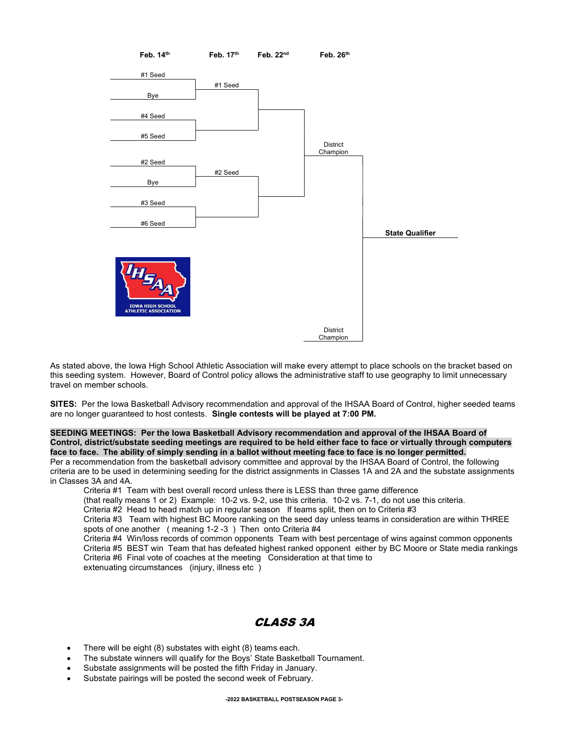

As stated above, the Iowa High School Athletic Association will make every attempt to place schools on the bracket based on this seeding system. However, Board of Control policy allows the administrative staff to use geography to limit unnecessary travel on member schools.

SITES: Per the Iowa Basketball Advisory recommendation and approval of the IHSAA Board of Control, higher seeded teams are no longer guaranteed to host contests. Single contests will be played at 7:00 PM.

SEEDING MEETINGS: Per the Iowa Basketball Advisory recommendation and approval of the IHSAA Board of Control, district/substate seeding meetings are required to be held either face to face or virtually through computers face to face. The ability of simply sending in a ballot without meeting face to face is no longer permitted. Per a recommendation from the basketball advisory committee and approval by the IHSAA Board of Control, the following criteria are to be used in determining seeding for the district assignments in Classes 1A and 2A and the substate assignments

in Classes 3A and 4A.

Criteria #1 Team with best overall record unless there is LESS than three game difference

(that really means 1 or 2) Example: 10-2 vs. 9-2, use this criteria. 10-2 vs. 7-1, do not use this criteria.

Criteria #2 Head to head match up in regular season If teams split, then on to Criteria #3

Criteria #3 Team with highest BC Moore ranking on the seed day unless teams in consideration are within THREE spots of one another ( meaning 1-2 -3 ) Then onto Criteria #4

Criteria #4 Win/loss records of common opponents Team with best percentage of wins against common opponents Criteria #5 BEST win Team that has defeated highest ranked opponent either by BC Moore or State media rankings Criteria #6 Final vote of coaches at the meeting Consideration at that time to extenuating circumstances (injury, illness etc)

# CLASS 3A

- There will be eight (8) substates with eight (8) teams each.
- The substate winners will qualify for the Boys' State Basketball Tournament.
- Substate assignments will be posted the fifth Friday in January.
- Substate pairings will be posted the second week of February.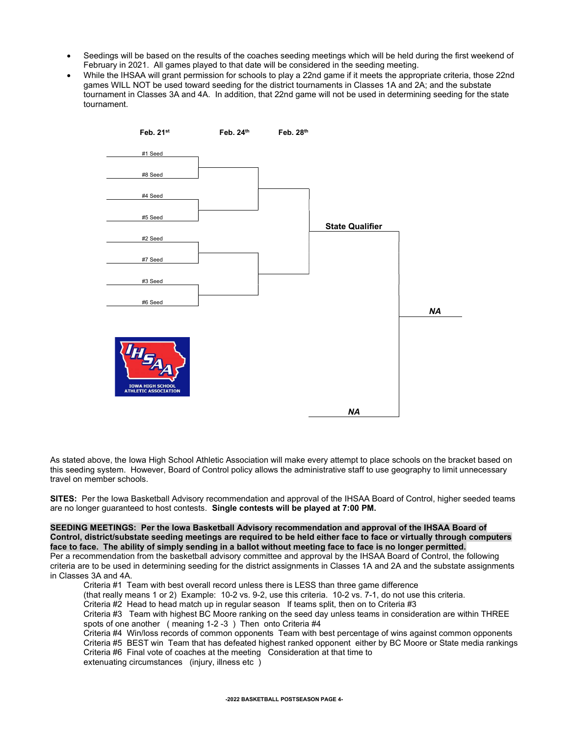- Seedings will be based on the results of the coaches seeding meetings which will be held during the first weekend of February in 2021. All games played to that date will be considered in the seeding meeting.
- While the IHSAA will grant permission for schools to play a 22nd game if it meets the appropriate criteria, those 22nd games WILL NOT be used toward seeding for the district tournaments in Classes 1A and 2A; and the substate tournament in Classes 3A and 4A. In addition, that 22nd game will not be used in determining seeding for the state tournament.



As stated above, the Iowa High School Athletic Association will make every attempt to place schools on the bracket based on this seeding system. However, Board of Control policy allows the administrative staff to use geography to limit unnecessary travel on member schools.

SITES: Per the Iowa Basketball Advisory recommendation and approval of the IHSAA Board of Control, higher seeded teams are no longer guaranteed to host contests. Single contests will be played at 7:00 PM.

SEEDING MEETINGS: Per the Iowa Basketball Advisory recommendation and approval of the IHSAA Board of Control, district/substate seeding meetings are required to be held either face to face or virtually through computers face to face. The ability of simply sending in a ballot without meeting face to face is no longer permitted. Per a recommendation from the basketball advisory committee and approval by the IHSAA Board of Control, the following criteria are to be used in determining seeding for the district assignments in Classes 1A and 2A and the substate assignments in Classes 3A and 4A.

Criteria #1 Team with best overall record unless there is LESS than three game difference

- (that really means 1 or 2) Example: 10-2 vs. 9-2, use this criteria. 10-2 vs. 7-1, do not use this criteria.
- Criteria #2 Head to head match up in regular season If teams split, then on to Criteria #3
- Criteria #3 Team with highest BC Moore ranking on the seed day unless teams in consideration are within THREE spots of one another ( meaning 1-2 -3 ) Then onto Criteria #4
- Criteria #4 Win/loss records of common opponents Team with best percentage of wins against common opponents Criteria #5 BEST win Team that has defeated highest ranked opponent either by BC Moore or State media rankings Criteria #6 Final vote of coaches at the meeting Consideration at that time to extenuating circumstances (injury, illness etc )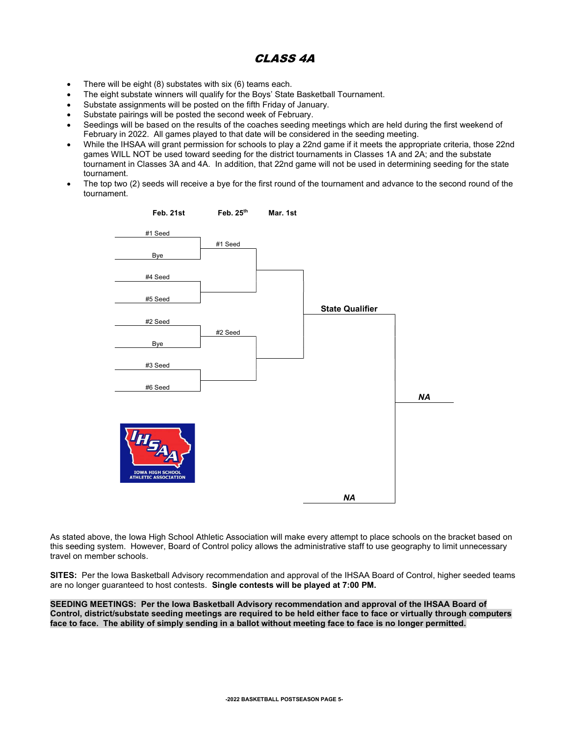## CLASS 4A

- There will be eight (8) substates with six (6) teams each.
- The eight substate winners will qualify for the Boys' State Basketball Tournament.
- Substate assignments will be posted on the fifth Friday of January.
- Substate pairings will be posted the second week of February.
- Seedings will be based on the results of the coaches seeding meetings which are held during the first weekend of February in 2022. All games played to that date will be considered in the seeding meeting.
- While the IHSAA will grant permission for schools to play a 22nd game if it meets the appropriate criteria, those 22nd games WILL NOT be used toward seeding for the district tournaments in Classes 1A and 2A; and the substate tournament in Classes 3A and 4A. In addition, that 22nd game will not be used in determining seeding for the state tournament.
- The top two (2) seeds will receive a bye for the first round of the tournament and advance to the second round of the tournament.



As stated above, the Iowa High School Athletic Association will make every attempt to place schools on the bracket based on this seeding system. However, Board of Control policy allows the administrative staff to use geography to limit unnecessary travel on member schools.

SITES: Per the Iowa Basketball Advisory recommendation and approval of the IHSAA Board of Control, higher seeded teams are no longer guaranteed to host contests. Single contests will be played at 7:00 PM.

SEEDING MEETINGS: Per the Iowa Basketball Advisory recommendation and approval of the IHSAA Board of Control, district/substate seeding meetings are required to be held either face to face or virtually through computers face to face. The ability of simply sending in a ballot without meeting face to face is no longer permitted.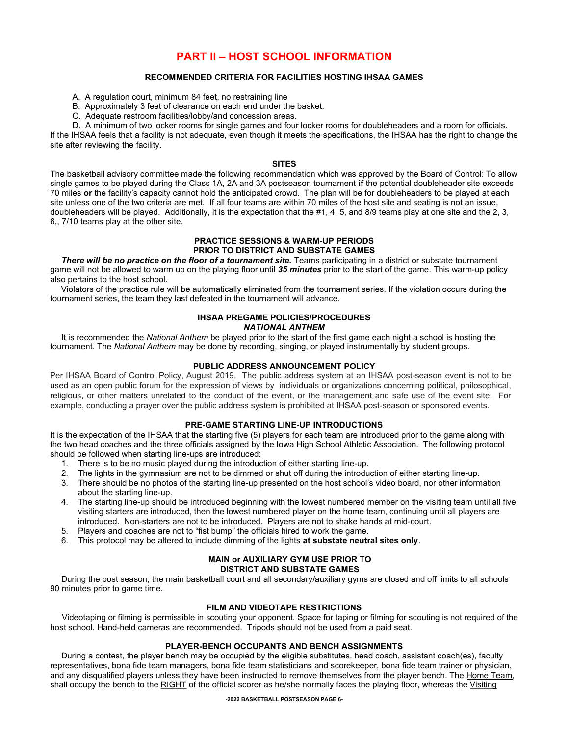## PART II – HOST SCHOOL INFORMATION

## RECOMMENDED CRITERIA FOR FACILITIES HOSTING IHSAA GAMES

- A. A regulation court, minimum 84 feet, no restraining line
- B. Approximately 3 feet of clearance on each end under the basket.
- C. Adequate restroom facilities/lobby/and concession areas.

D. A minimum of two locker rooms for single games and four locker rooms for doubleheaders and a room for officials. If the IHSAA feels that a facility is not adequate, even though it meets the specifications, the IHSAA has the right to change the site after reviewing the facility.

#### SITES

The basketball advisory committee made the following recommendation which was approved by the Board of Control: To allow single games to be played during the Class 1A, 2A and 3A postseason tournament if the potential doubleheader site exceeds 70 miles or the facility's capacity cannot hold the anticipated crowd. The plan will be for doubleheaders to be played at each site unless one of the two criteria are met. If all four teams are within 70 miles of the host site and seating is not an issue, doubleheaders will be played. Additionally, it is the expectation that the #1, 4, 5, and 8/9 teams play at one site and the 2, 3, 6,, 7/10 teams play at the other site.

## PRACTICE SESSIONS & WARM-UP PERIODS PRIOR TO DISTRICT AND SUBSTATE GAMES

There will be no practice on the floor of a tournament site. Teams participating in a district or substate tournament game will not be allowed to warm up on the playing floor until 35 minutes prior to the start of the game. This warm-up policy also pertains to the host school.

 Violators of the practice rule will be automatically eliminated from the tournament series. If the violation occurs during the tournament series, the team they last defeated in the tournament will advance.

## IHSAA PREGAME POLICIES/PROCEDURES

## NATIONAL ANTHEM

It is recommended the National Anthem be played prior to the start of the first game each night a school is hosting the tournament. The National Anthem may be done by recording, singing, or played instrumentally by student groups.

#### PUBLIC ADDRESS ANNOUNCEMENT POLICY

Per IHSAA Board of Control Policy, August 2019. The public address system at an IHSAA post-season event is not to be used as an open public forum for the expression of views by individuals or organizations concerning political, philosophical, religious, or other matters unrelated to the conduct of the event, or the management and safe use of the event site. For example, conducting a prayer over the public address system is prohibited at IHSAA post-season or sponsored events.

## PRE-GAME STARTING LINE-UP INTRODUCTIONS

It is the expectation of the IHSAA that the starting five (5) players for each team are introduced prior to the game along with the two head coaches and the three officials assigned by the Iowa High School Athletic Association. The following protocol should be followed when starting line-ups are introduced:

- 1. There is to be no music played during the introduction of either starting line-up.
- 2. The lights in the gymnasium are not to be dimmed or shut off during the introduction of either starting line-up.
- 3. There should be no photos of the starting line-up presented on the host school's video board, nor other information about the starting line-up.
- 4. The starting line-up should be introduced beginning with the lowest numbered member on the visiting team until all five visiting starters are introduced, then the lowest numbered player on the home team, continuing until all players are introduced. Non-starters are not to be introduced. Players are not to shake hands at mid-court.
- 5. Players and coaches are not to "fist bump" the officials hired to work the game.
- 6. This protocol may be altered to include dimming of the lights at substate neutral sites only.

#### MAIN or AUXILIARY GYM USE PRIOR TO DISTRICT AND SUBSTATE GAMES

During the post season, the main basketball court and all secondary/auxiliary gyms are closed and off limits to all schools 90 minutes prior to game time.

## FILM AND VIDEOTAPE RESTRICTIONS

 Videotaping or filming is permissible in scouting your opponent. Space for taping or filming for scouting is not required of the host school. Hand-held cameras are recommended. Tripods should not be used from a paid seat.

## PLAYER-BENCH OCCUPANTS AND BENCH ASSIGNMENTS

During a contest, the player bench may be occupied by the eligible substitutes, head coach, assistant coach(es), faculty representatives, bona fide team managers, bona fide team statisticians and scorekeeper, bona fide team trainer or physician, and any disqualified players unless they have been instructed to remove themselves from the player bench. The Home Team, shall occupy the bench to the RIGHT of the official scorer as he/she normally faces the playing floor, whereas the Visiting

-2022 BASKETBALL POSTSEASON PAGE 6-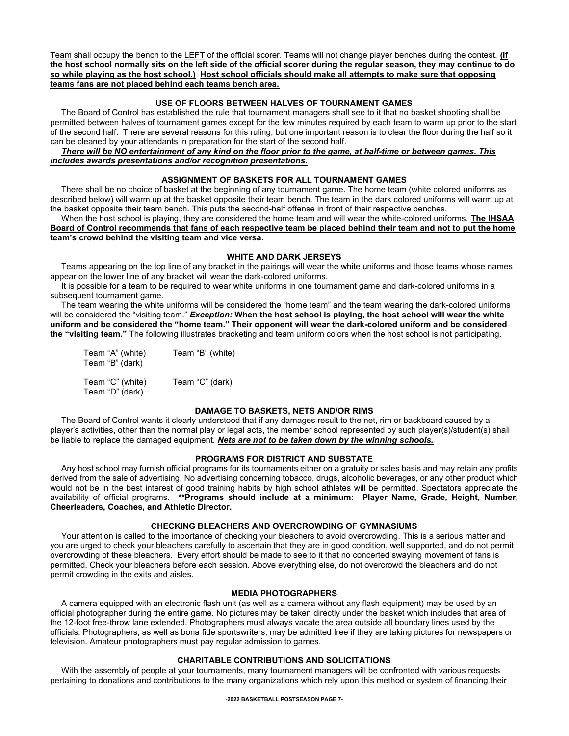Team shall occupy the bench to the LEFT of the official scorer. Teams will not change player benches during the contest. (If the host school normally sits on the left side of the official scorer during the regular season, they may continue to do so while playing as the host school.) Host school officials should make all attempts to make sure that opposing teams fans are not placed behind each teams bench area.

## USE OF FLOORS BETWEEN HALVES OF TOURNAMENT GAMES

The Board of Control has established the rule that tournament managers shall see to it that no basket shooting shall be permitted between halves of tournament games except for the few minutes required by each team to warm up prior to the start of the second half. There are several reasons for this ruling, but one important reason is to clear the floor during the half so it can be cleaned by your attendants in preparation for the start of the second half.

## There will be NO entertainment of any kind on the floor prior to the game, at half-time or between games. This includes awards presentations and/or recognition presentations.

## ASSIGNMENT OF BASKETS FOR ALL TOURNAMENT GAMES

There shall be no choice of basket at the beginning of any tournament game. The home team (white colored uniforms as described below) will warm up at the basket opposite their team bench. The team in the dark colored uniforms will warm up at the basket opposite their team bench. This puts the second-half offense in front of their respective benches.

#### When the host school is playing, they are considered the home team and will wear the white-colored uniforms. The IHSAA Board of Control recommends that fans of each respective team be placed behind their team and not to put the home team's crowd behind the visiting team and vice versa.

#### WHITE AND DARK JERSEYS

Teams appearing on the top line of any bracket in the pairings will wear the white uniforms and those teams whose names appear on the lower line of any bracket will wear the dark-colored uniforms.

It is possible for a team to be required to wear white uniforms in one tournament game and dark-colored uniforms in a subsequent tournament game.

The team wearing the white uniforms will be considered the "home team" and the team wearing the dark-colored uniforms will be considered the "visiting team." Exception: When the host school is playing, the host school will wear the white uniform and be considered the "home team." Their opponent will wear the dark-colored uniform and be considered the "visiting team." The following illustrates bracketing and team uniform colors when the host school is not participating.

| Team "A" (white)<br>Team "B" (dark) | Team "B" (white) |
|-------------------------------------|------------------|
| Team "C" (white)<br>Team "D" (dark) | Team "C" (dark)  |

#### DAMAGE TO BASKETS, NETS AND/OR RIMS

The Board of Control wants it clearly understood that if any damages result to the net, rim or backboard caused by a player's activities, other than the normal play or legal acts, the member school represented by such player(s)/student(s) shall be liable to replace the damaged equipment. Nets are not to be taken down by the winning schools.

## PROGRAMS FOR DISTRICT AND SUBSTATE

Any host school may furnish official programs for its tournaments either on a gratuity or sales basis and may retain any profits derived from the sale of advertising. No advertising concerning tobacco, drugs, alcoholic beverages, or any other product which would not be in the best interest of good training habits by high school athletes will be permitted. Spectators appreciate the availability of official programs. \*\*Programs should include at a minimum: Player Name, Grade, Height, Number, Cheerleaders, Coaches, and Athletic Director.

## CHECKING BLEACHERS AND OVERCROWDING OF GYMNASIUMS

Your attention is called to the importance of checking your bleachers to avoid overcrowding. This is a serious matter and you are urged to check your bleachers carefully to ascertain that they are in good condition, well supported, and do not permit overcrowding of these bleachers. Every effort should be made to see to it that no concerted swaying movement of fans is permitted. Check your bleachers before each session. Above everything else, do not overcrowd the bleachers and do not permit crowding in the exits and aisles.

#### MEDIA PHOTOGRAPHERS

A camera equipped with an electronic flash unit (as well as a camera without any flash equipment) may be used by an official photographer during the entire game. No pictures may be taken directly under the basket which includes that area of the 12-foot free-throw lane extended. Photographers must always vacate the area outside all boundary lines used by the officials. Photographers, as well as bona fide sportswriters, may be admitted free if they are taking pictures for newspapers or television. Amateur photographers must pay regular admission to games.

## CHARITABLE CONTRIBUTIONS AND SOLICITATIONS

With the assembly of people at your tournaments, many tournament managers will be confronted with various requests pertaining to donations and contributions to the many organizations which rely upon this method or system of financing their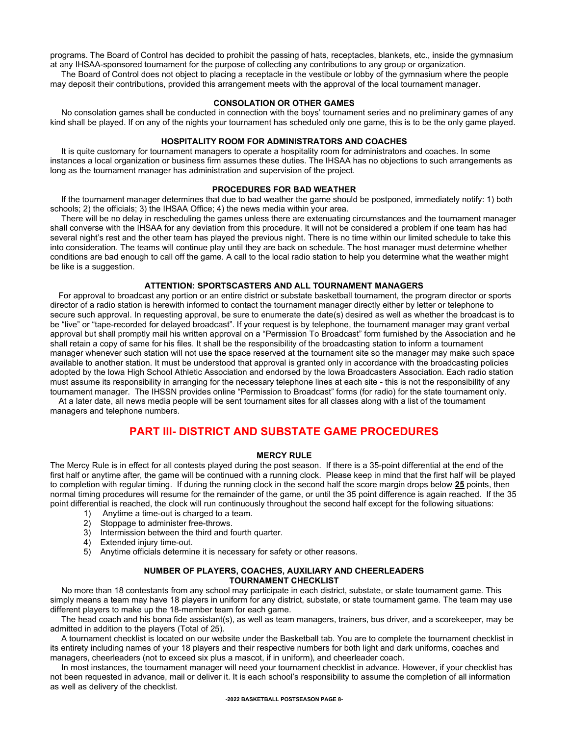programs. The Board of Control has decided to prohibit the passing of hats, receptacles, blankets, etc., inside the gymnasium at any IHSAA-sponsored tournament for the purpose of collecting any contributions to any group or organization.

The Board of Control does not object to placing a receptacle in the vestibule or lobby of the gymnasium where the people may deposit their contributions, provided this arrangement meets with the approval of the local tournament manager.

#### CONSOLATION OR OTHER GAMES

No consolation games shall be conducted in connection with the boys' tournament series and no preliminary games of any kind shall be played. If on any of the nights your tournament has scheduled only one game, this is to be the only game played.

#### HOSPITALITY ROOM FOR ADMINISTRATORS AND COACHES

It is quite customary for tournament managers to operate a hospitality room for administrators and coaches. In some instances a local organization or business firm assumes these duties. The IHSAA has no objections to such arrangements as long as the tournament manager has administration and supervision of the project.

## PROCEDURES FOR BAD WEATHER

If the tournament manager determines that due to bad weather the game should be postponed, immediately notify: 1) both schools; 2) the officials; 3) the IHSAA Office; 4) the news media within your area.

There will be no delay in rescheduling the games unless there are extenuating circumstances and the tournament manager shall converse with the IHSAA for any deviation from this procedure. It will not be considered a problem if one team has had several night's rest and the other team has played the previous night. There is no time within our limited schedule to take this into consideration. The teams will continue play until they are back on schedule. The host manager must determine whether conditions are bad enough to call off the game. A call to the local radio station to help you determine what the weather might be like is a suggestion.

#### ATTENTION: SPORTSCASTERS AND ALL TOURNAMENT MANAGERS

For approval to broadcast any portion or an entire district or substate basketball tournament, the program director or sports director of a radio station is herewith informed to contact the tournament manager directly either by letter or telephone to secure such approval. In requesting approval, be sure to enumerate the date(s) desired as well as whether the broadcast is to be "live" or "tape-recorded for delayed broadcast". If your request is by telephone, the tournament manager may grant verbal approval but shall promptly mail his written approval on a "Permission To Broadcast" form furnished by the Association and he shall retain a copy of same for his files. It shall be the responsibility of the broadcasting station to inform a tournament manager whenever such station will not use the space reserved at the tournament site so the manager may make such space available to another station. It must be understood that approval is granted only in accordance with the broadcasting policies adopted by the lowa High School Athletic Association and endorsed by the lowa Broadcasters Association. Each radio station must assume its responsibility in arranging for the necessary telephone lines at each site - this is not the responsibility of any tournament manager. The IHSSN provides online "Permission to Broadcast" forms (for radio) for the state tournament only.

At a later date, all news media people will be sent tournament sites for all classes along with a list of the toumament managers and telephone numbers.

## PART III- DISTRICT AND SUBSTATE GAME PROCEDURES

#### MERCY RULE

The Mercy Rule is in effect for all contests played during the post season. If there is a 35-point differential at the end of the first half or anytime after, the game will be continued with a running clock. Please keep in mind that the first half will be played to completion with regular timing. If during the running clock in the second half the score margin drops below 25 points, then normal timing procedures will resume for the remainder of the game, or until the 35 point difference is again reached. If the 35 point differential is reached, the clock will run continuously throughout the second half except for the following situations:

- 1) Anytime a time-out is charged to a team.
- 2) Stoppage to administer free-throws.
- 3) Intermission between the third and fourth quarter.
- 4) Extended injury time-out.
- 5) Anytime officials determine it is necessary for safety or other reasons.

### NUMBER OF PLAYERS, COACHES, AUXILIARY AND CHEERLEADERS TOURNAMENT CHECKLIST

No more than 18 contestants from any school may participate in each district, substate, or state tournament game. This simply means a team may have 18 players in uniform for any district, substate, or state tournament game. The team may use different players to make up the 18-member team for each game.

The head coach and his bona fide assistant(s), as well as team managers, trainers, bus driver, and a scorekeeper, may be admitted in addition to the players (Total of 25).

A tournament checklist is located on our website under the Basketball tab. You are to complete the tournament checklist in its entirety including names of your 18 players and their respective numbers for both light and dark uniforms, coaches and managers, cheerleaders (not to exceed six plus a mascot, if in uniform), and cheerleader coach.

In most instances, the tournament manager will need your tournament checklist in advance. However, if your checklist has not been requested in advance, mail or deliver it. It is each school's responsibility to assume the completion of all information as well as delivery of the checklist.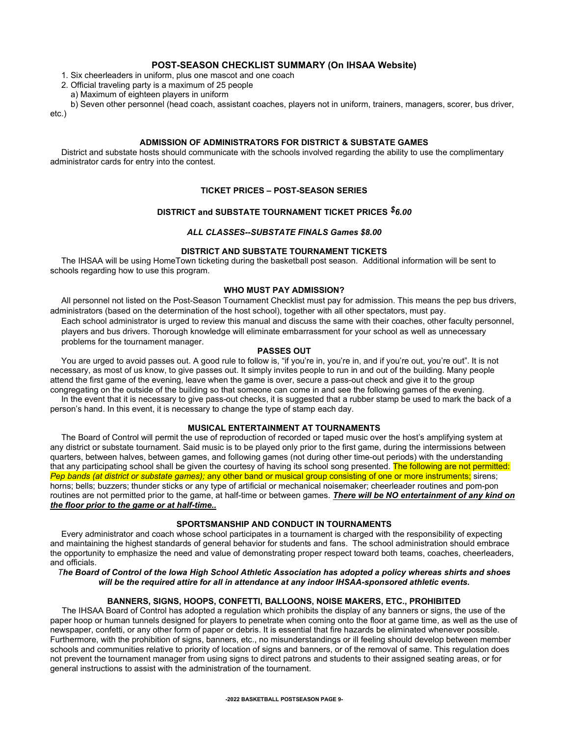## POST-SEASON CHECKLIST SUMMARY (On IHSAA Website)

1. Six cheerleaders in uniform, plus one mascot and one coach

2. Official traveling party is a maximum of 25 people

a) Maximum of eighteen players in uniform

 b) Seven other personnel (head coach, assistant coaches, players not in uniform, trainers, managers, scorer, bus driver, etc.)

#### ADMISSION OF ADMINISTRATORS FOR DISTRICT & SUBSTATE GAMES

District and substate hosts should communicate with the schools involved regarding the ability to use the complimentary administrator cards for entry into the contest.

## TICKET PRICES – POST-SEASON SERIES

## DISTRICT and SUBSTATE TOURNAMENT TICKET PRICES  $$6.00$

## ALL CLASSES--SUBSTATE FINALS Games \$8.00

## DISTRICT AND SUBSTATE TOURNAMENT TICKETS

The IHSAA will be using HomeTown ticketing during the basketball post season. Additional information will be sent to schools regarding how to use this program.

## WHO MUST PAY ADMISSION?

All personnel not listed on the Post-Season Tournament Checklist must pay for admission. This means the pep bus drivers, administrators (based on the determination of the host school), together with all other spectators, must pay. Each school administrator is urged to review this manual and discuss the same with their coaches, other faculty personnel, players and bus drivers. Thorough knowledge will eliminate embarrassment for your school as well as unnecessary problems for the tournament manager.

#### PASSES OUT

You are urged to avoid passes out. A good rule to follow is, "if you're in, you're in, and if you're out, you're out". It is not necessary, as most of us know, to give passes out. It simply invites people to run in and out of the building. Many people attend the first game of the evening, leave when the game is over, secure a pass-out check and give it to the group congregating on the outside of the building so that someone can come in and see the following games of the evening.

In the event that it is necessary to give pass-out checks, it is suggested that a rubber stamp be used to mark the back of a person's hand. In this event, it is necessary to change the type of stamp each day.

#### MUSICAL ENTERTAINMENT AT TOURNAMENTS

The Board of Control will permit the use of reproduction of recorded or taped music over the host's amplifying system at any district or substate tournament. Said music is to be played only prior to the first game, during the intermissions between quarters, between halves, between games, and following games (not during other time-out periods) with the understanding that any participating school shall be given the courtesy of having its school song presented. The following are not permitted: Pep bands (at district or substate games); any other band or musical group consisting of one or more instruments; sirens; horns; bells; buzzers; thunder sticks or any type of artificial or mechanical noisemaker; cheerleader routines and pom-pon routines are not permitted prior to the game, at half-time or between games. There will be NO entertainment of any kind on the floor prior to the game or at half-time..

## SPORTSMANSHIP AND CONDUCT IN TOURNAMENTS

Every administrator and coach whose school participates in a tournament is charged with the responsibility of expecting and maintaining the highest standards of general behavior for students and fans. The school administration should embrace the opportunity to emphasize the need and value of demonstrating proper respect toward both teams, coaches, cheerleaders, and officials.

## The Board of Control of the Iowa High School Athletic Association has adopted a policy whereas shirts and shoes will be the required attire for all in attendance at any indoor IHSAA-sponsored athletic events.

## BANNERS, SIGNS, HOOPS, CONFETTI, BALLOONS, NOISE MAKERS, ETC., PROHIBITED

 The IHSAA Board of Control has adopted a regulation which prohibits the display of any banners or signs, the use of the paper hoop or human tunnels designed for players to penetrate when coming onto the floor at game time, as well as the use of newspaper, confetti, or any other form of paper or debris. It is essential that fire hazards be eliminated whenever possible. Furthermore, with the prohibition of signs, banners, etc., no misunderstandings or ill feeling should develop between member schools and communities relative to priority of location of signs and banners, or of the removal of same. This regulation does not prevent the tournament manager from using signs to direct patrons and students to their assigned seating areas, or for general instructions to assist with the administration of the tournament.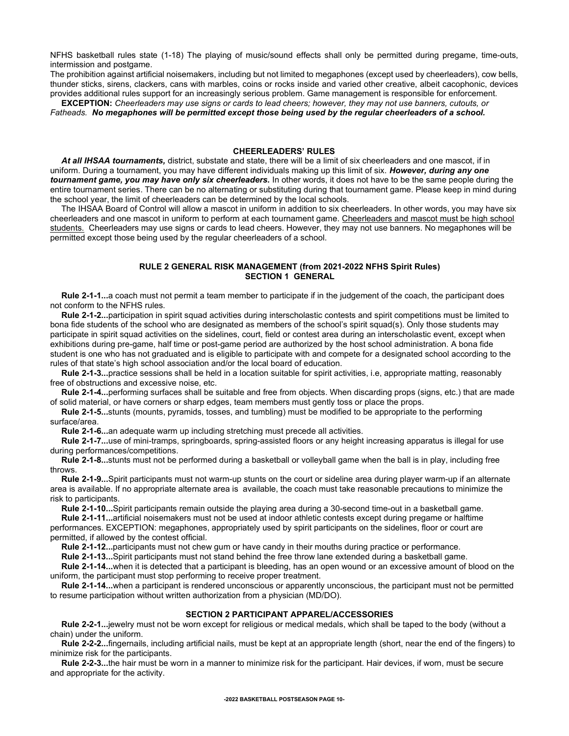NFHS basketball rules state (1-18) The playing of music/sound effects shall only be permitted during pregame, time-outs, intermission and postgame.

The prohibition against artificial noisemakers, including but not limited to megaphones (except used by cheerleaders), cow bells, thunder sticks, sirens, clackers, cans with marbles, coins or rocks inside and varied other creative, albeit cacophonic, devices provides additional rules support for an increasingly serious problem. Game management is responsible for enforcement.

EXCEPTION: Cheerleaders may use signs or cards to lead cheers; however, they may not use banners, cutouts, or Fatheads. No megaphones will be permitted except those being used by the regular cheerleaders of a school.

#### CHEERLEADERS' RULES

At all IHSAA tournaments, district, substate and state, there will be a limit of six cheerleaders and one mascot, if in uniform. During a tournament, you may have different individuals making up this limit of six. However, during any one tournament game, you may have only six cheerleaders. In other words, it does not have to be the same people during the entire tournament series. There can be no alternating or substituting during that tournament game. Please keep in mind during the school year, the limit of cheerleaders can be determined by the local schools.

The IHSAA Board of Control will allow a mascot in uniform in addition to six cheerleaders. In other words, you may have six cheerleaders and one mascot in uniform to perform at each tournament game. Cheerleaders and mascot must be high school students. Cheerleaders may use signs or cards to lead cheers. However, they may not use banners. No megaphones will be permitted except those being used by the regular cheerleaders of a school.

#### RULE 2 GENERAL RISK MANAGEMENT (from 2021-2022 NFHS Spirit Rules) SECTION 1 GENERAL

Rule 2-1-1...a coach must not permit a team member to participate if in the judgement of the coach, the participant does not conform to the NFHS rules.

Rule 2-1-2...participation in spirit squad activities during interscholastic contests and spirit competitions must be limited to bona fide students of the school who are designated as members of the school's spirit squad(s). Only those students may participate in spirit squad activities on the sidelines, court, field or contest area during an interscholastic event, except when exhibitions during pre-game, half time or post-game period are authorized by the host school administration. A bona fide student is one who has not graduated and is eligible to participate with and compete for a designated school according to the rules of that state's high school association and/or the local board of education.

Rule 2-1-3...practice sessions shall be held in a location suitable for spirit activities, i.e, appropriate matting, reasonably free of obstructions and excessive noise, etc.

Rule 2-1-4...performing surfaces shall be suitable and free from objects. When discarding props (signs, etc.) that are made of solid material, or have corners or sharp edges, team members must gently toss or place the props.

Rule 2-1-5...stunts (mounts, pyramids, tosses, and tumbling) must be modified to be appropriate to the performing surface/area.

Rule 2-1-6...an adequate warm up including stretching must precede all activities.

Rule 2-1-7...use of mini-tramps, springboards, spring-assisted floors or any height increasing apparatus is illegal for use during performances/competitions.

Rule 2-1-8...stunts must not be performed during a basketball or volleyball game when the ball is in play, including free throws.

Rule 2-1-9...Spirit participants must not warm-up stunts on the court or sideline area during player warm-up if an alternate area is available. If no appropriate alternate area is available, the coach must take reasonable precautions to minimize the risk to participants.

Rule 2-1-10...Spirit participants remain outside the playing area during a 30-second time-out in a basketball game.

Rule 2-1-11...artificial noisemakers must not be used at indoor athletic contests except during pregame or halftime performances. EXCEPTION: megaphones, appropriately used by spirit participants on the sidelines, floor or court are permitted, if allowed by the contest official.

Rule 2-1-12...participants must not chew gum or have candy in their mouths during practice or performance.

Rule 2-1-13...Spirit participants must not stand behind the free throw lane extended during a basketball game.

Rule 2-1-14...when it is detected that a participant is bleeding, has an open wound or an excessive amount of blood on the uniform, the participant must stop performing to receive proper treatment.

Rule 2-1-14...when a participant is rendered unconscious or apparently unconscious, the participant must not be permitted to resume participation without written authorization from a physician (MD/DO).

#### SECTION 2 PARTICIPANT APPAREL/ACCESSORIES

Rule 2-2-1...jewelry must not be worn except for religious or medical medals, which shall be taped to the body (without a chain) under the uniform.

Rule 2-2-2...fingernails, including artificial nails, must be kept at an appropriate length (short, near the end of the fingers) to minimize risk for the participants.

Rule 2-2-3...the hair must be worn in a manner to minimize risk for the participant. Hair devices, if worn, must be secure and appropriate for the activity.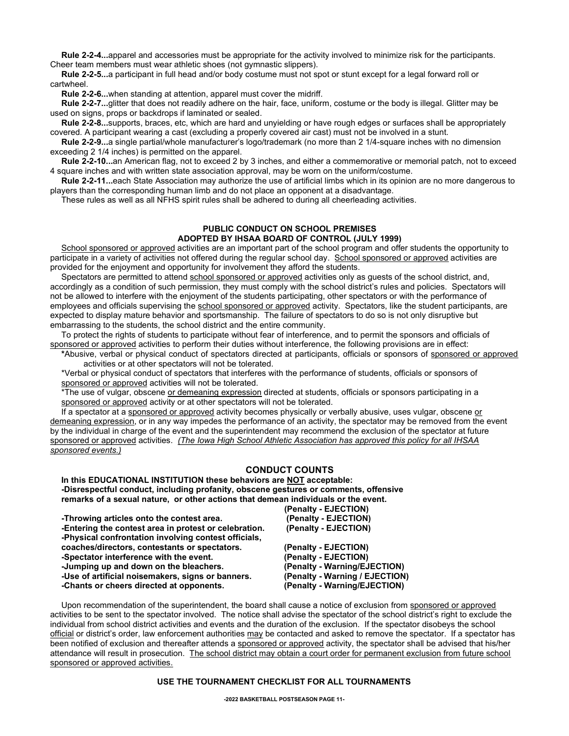Rule 2-2-4...apparel and accessories must be appropriate for the activity involved to minimize risk for the participants. Cheer team members must wear athletic shoes (not gymnastic slippers).

Rule 2-2-5...a participant in full head and/or body costume must not spot or stunt except for a legal forward roll or cartwheel.

Rule 2-2-6...when standing at attention, apparel must cover the midriff.

Rule 2-2-7...glitter that does not readily adhere on the hair, face, uniform, costume or the body is illegal. Glitter may be used on signs, props or backdrops if laminated or sealed.

Rule 2-2-8...supports, braces, etc, which are hard and unyielding or have rough edges or surfaces shall be appropriately covered. A participant wearing a cast (excluding a properly covered air cast) must not be involved in a stunt.

Rule 2-2-9...a single partial/whole manufacturer's logo/trademark (no more than 2 1/4-square inches with no dimension exceeding 2 1/4 inches) is permitted on the apparel.

Rule 2-2-10...an American flag, not to exceed 2 by 3 inches, and either a commemorative or memorial patch, not to exceed 4 square inches and with written state association approval, may be worn on the uniform/costume.

Rule 2-2-11...each State Association may authorize the use of artificial limbs which in its opinion are no more dangerous to players than the corresponding human limb and do not place an opponent at a disadvantage.

These rules as well as all NFHS spirit rules shall be adhered to during all cheerleading activities.

## PUBLIC CONDUCT ON SCHOOL PREMISES ADOPTED BY IHSAA BOARD OF CONTROL (JULY 1999)

School sponsored or approved activities are an important part of the school program and offer students the opportunity to participate in a variety of activities not offered during the regular school day. School sponsored or approved activities are provided for the enjoyment and opportunity for involvement they afford the students.

Spectators are permitted to attend school sponsored or approved activities only as guests of the school district, and, accordingly as a condition of such permission, they must comply with the school district's rules and policies. Spectators will not be allowed to interfere with the enjoyment of the students participating, other spectators or with the performance of employees and officials supervising the school sponsored or approved activity. Spectators, like the student participants, are expected to display mature behavior and sportsmanship. The failure of spectators to do so is not only disruptive but embarrassing to the students, the school district and the entire community.

To protect the rights of students to participate without fear of interference, and to permit the sponsors and officials of sponsored or approved activities to perform their duties without interference, the following provisions are in effect:

\*Abusive, verbal or physical conduct of spectators directed at participants, officials or sponsors of sponsored or approved activities or at other spectators will not be tolerated.

\*Verbal or physical conduct of spectators that interferes with the performance of students, officials or sponsors of sponsored or approved activities will not be tolerated.

\*The use of vulgar, obscene or demeaning expression directed at students, officials or sponsors participating in a sponsored or approved activity or at other spectators will not be tolerated.

If a spectator at a sponsored or approved activity becomes physically or verbally abusive, uses vulgar, obscene or demeaning expression, or in any way impedes the performance of an activity, the spectator may be removed from the event by the individual in charge of the event and the superintendent may recommend the exclusion of the spectator at future sponsored or approved activities. (The Iowa High School Athletic Association has approved this policy for all IHSAA sponsored events.)

## CONDUCT COUNTS

In this EDUCATIONAL INSTITUTION these behaviors are NOT acceptable: -Disrespectful conduct, including profanity, obscene gestures or comments, offensive remarks of a sexual nature, or other actions that demean individuals or the event.

-Throwing articles onto the contest area. (Penalty - EJECTION)<br>-Entering the contest area in protest or celebration. (Penalty - EJECTION) -Entering the contest area in protest or celebration. -Physical confrontation involving contest officials, coaches/directors, contestants or spectators. (Penalty - EJECTION) -Spectator interference with the event. (Penalty - EJECTION)<br>-Jumping up and down on the bleachers. (Penalty - Warning/EJECTION) -Jumping up and down on the bleachers. -Use of artificial noisemakers, signs or banners. (Penalty - Warning / EJECTION) -Chants or cheers directed at opponents. (Penalty - Warning/EJECTION)

(Penalty - EJECTION)

Upon recommendation of the superintendent, the board shall cause a notice of exclusion from sponsored or approved activities to be sent to the spectator involved. The notice shall advise the spectator of the school district's right to exclude the individual from school district activities and events and the duration of the exclusion. If the spectator disobeys the school official or district's order, law enforcement authorities may be contacted and asked to remove the spectator. If a spectator has been notified of exclusion and thereafter attends a sponsored or approved activity, the spectator shall be advised that his/her attendance will result in prosecution. The school district may obtain a court order for permanent exclusion from future school sponsored or approved activities.

#### USE THE TOURNAMENT CHECKLIST FOR ALL TOURNAMENTS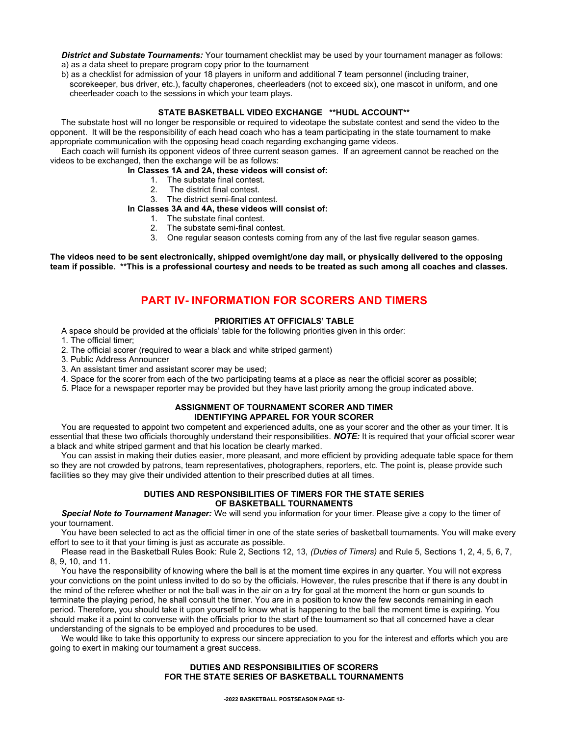District and Substate Tournaments: Your tournament checklist may be used by your tournament manager as follows:

- a) as a data sheet to prepare program copy prior to the tournament
- b) as a checklist for admission of your 18 players in uniform and additional 7 team personnel (including trainer,

scorekeeper, bus driver, etc.), faculty chaperones, cheerleaders (not to exceed six), one mascot in uniform, and one cheerleader coach to the sessions in which your team plays.

## STATE BASKETBALL VIDEO EXCHANGE \*\*HUDL ACCOUNT\*\*

The substate host will no longer be responsible or required to videotape the substate contest and send the video to the opponent. It will be the responsibility of each head coach who has a team participating in the state tournament to make appropriate communication with the opposing head coach regarding exchanging game videos.

Each coach will furnish its opponent videos of three current season games. If an agreement cannot be reached on the videos to be exchanged, then the exchange will be as follows:

## In Classes 1A and 2A, these videos will consist of:

- 1. The substate final contest.
	- 2. The district final contest.
	- 3. The district semi-final contest.

## In Classes 3A and 4A, these videos will consist of:

- 1. The substate final contest.
- 2. The substate semi-final contest.
- 3. One regular season contests coming from any of the last five regular season games.

The videos need to be sent electronically, shipped overnight/one day mail, or physically delivered to the opposing team if possible. \*\*This is a professional courtesy and needs to be treated as such among all coaches and classes.

## PART IV- INFORMATION FOR SCORERS AND TIMERS

## PRIORITIES AT OFFICIALS' TABLE

A space should be provided at the officials' table for the following priorities given in this order:

- 1. The official timer;
- 2. The official scorer (required to wear a black and white striped garment)
- 3. Public Address Announcer
- 3. An assistant timer and assistant scorer may be used;
- 4. Space for the scorer from each of the two participating teams at a place as near the official scorer as possible;
- 5. Place for a newspaper reporter may be provided but they have last priority among the group indicated above.

## ASSIGNMENT OF TOURNAMENT SCORER AND TIMER IDENTIFYING APPAREL FOR YOUR SCORER

You are requested to appoint two competent and experienced adults, one as your scorer and the other as your timer. It is essential that these two officials thoroughly understand their responsibilities. NOTE: It is required that your official scorer wear a black and white striped garment and that his location be clearly marked.

You can assist in making their duties easier, more pleasant, and more efficient by providing adequate table space for them so they are not crowded by patrons, team representatives, photographers, reporters, etc. The point is, please provide such facilities so they may give their undivided attention to their prescribed duties at all times.

## DUTIES AND RESPONSIBILITIES OF TIMERS FOR THE STATE SERIES OF BASKETBALL TOURNAMENTS

Special Note to Tournament Manager: We will send you information for your timer. Please give a copy to the timer of your tournament.

You have been selected to act as the official timer in one of the state series of basketball tournaments. You will make every effort to see to it that your timing is just as accurate as possible.

Please read in the Basketball Rules Book: Rule 2, Sections 12, 13, (Duties of Timers) and Rule 5, Sections 1, 2, 4, 5, 6, 7, 8, 9, 10, and 11.

You have the responsibility of knowing where the ball is at the moment time expires in any quarter. You will not express your convictions on the point unless invited to do so by the officials. However, the rules prescribe that if there is any doubt in the mind of the referee whether or not the ball was in the air on a try for goal at the moment the horn or gun sounds to terminate the playing period, he shall consult the timer. You are in a position to know the few seconds remaining in each period. Therefore, you should take it upon yourself to know what is happening to the ball the moment time is expiring. You should make it a point to converse with the officials prior to the start of the tournament so that all concerned have a clear understanding of the signals to be employed and procedures to be used.

We would like to take this opportunity to express our sincere appreciation to you for the interest and efforts which you are going to exert in making our tournament a great success.

## DUTIES AND RESPONSIBILITIES OF SCORERS FOR THE STATE SERIES OF BASKETBALL TOURNAMENTS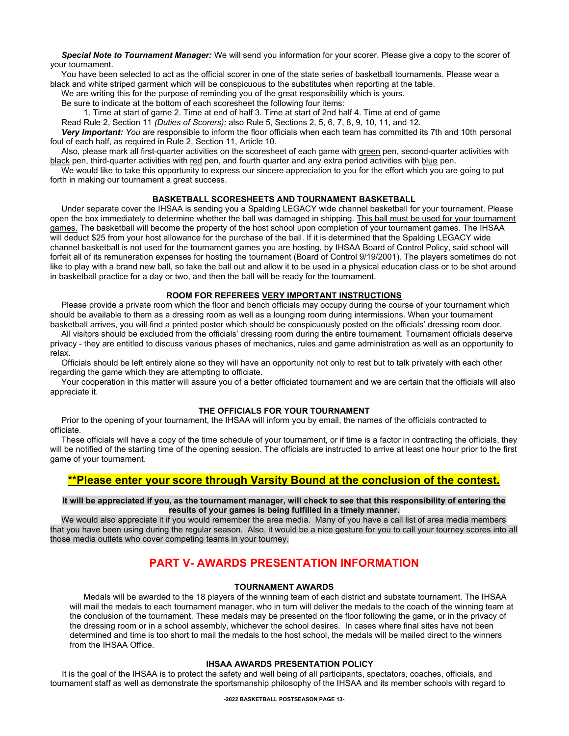Special Note to Tournament Manager: We will send you information for your scorer. Please give a copy to the scorer of your tournament.

You have been selected to act as the official scorer in one of the state series of basketball tournaments. Please wear a black and white striped garment which will be conspicuous to the substitutes when reporting at the table.

We are writing this for the purpose of reminding you of the great responsibility which is yours.

Be sure to indicate at the bottom of each scoresheet the following four items:

1. Time at start of game 2. Time at end of half 3. Time at start of 2nd half 4. Time at end of game

Read Rule 2, Section 11 (Duties of Scorers); also Rule 5, Sections 2, 5, 6, 7, 8, 9, 10, 11, and 12.

Very Important: You are responsible to inform the floor officials when each team has committed its 7th and 10th personal foul of each half, as required in Rule 2, Section 11, Article 10.

Also, please mark all first-quarter activities on the scoresheet of each game with green pen, second-quarter activities with black pen, third-quarter activities with red pen, and fourth quarter and any extra period activities with blue pen.

We would like to take this opportunity to express our sincere appreciation to you for the effort which you are going to put forth in making our tournament a great success.

## BASKETBALL SCORESHEETS AND TOURNAMENT BASKETBALL

Under separate cover the IHSAA is sending you a Spalding LEGACY wide channel basketball for your tournament. Please open the box immediately to determine whether the ball was damaged in shipping. This ball must be used for your tournament games. The basketball will become the property of the host school upon completion of your tournament games. The IHSAA will deduct \$25 from your host allowance for the purchase of the ball. If it is determined that the Spalding LEGACY wide channel basketball is not used for the tournament games you are hosting, by IHSAA Board of Control Policy, said school will forfeit all of its remuneration expenses for hosting the tournament (Board of Control 9/19/2001). The players sometimes do not like to play with a brand new ball, so take the ball out and allow it to be used in a physical education class or to be shot around in basketball practice for a day or two, and then the ball will be ready for the tournament.

## ROOM FOR REFEREES VERY IMPORTANT lNSTRUCTlONS

Please provide a private room which the floor and bench officials may occupy during the course of your tournament which should be available to them as a dressing room as well as a lounging room during intermissions. When your tournament basketball arrives, you will find a printed poster which should be conspicuously posted on the officials' dressing room door.

All visitors should be excluded from the officials' dressing room during the entire tournament. Tournament officials deserve privacy - they are entitled to discuss various phases of mechanics, rules and game administration as well as an opportunity to relax.

Officials should be left entirely alone so they will have an opportunity not only to rest but to talk privately with each other regarding the game which they are attempting to officiate.

Your cooperation in this matter will assure you of a better officiated tournament and we are certain that the officials will also appreciate it.

#### THE OFFICIALS FOR YOUR TOURNAMENT

Prior to the opening of your tournament, the IHSAA will inform you by email, the names of the officials contracted to officiate.

These officials will have a copy of the time schedule of your tournament, or if time is a factor in contracting the officials, they will be notified of the starting time of the opening session. The officials are instructed to arrive at least one hour prior to the first game of your tournament.

## \*\*Please enter your score through Varsity Bound at the conclusion of the contest.

#### It will be appreciated if you, as the tournament manager, will check to see that this responsibility of entering the results of your games is being fulfilled in a timely manner.

We would also appreciate it if you would remember the area media. Many of you have a call list of area media members that you have been using during the regular season. Also, it would be a nice gesture for you to call your tourney scores into all those media outlets who cover competing teams in your tourney.

## PART V- AWARDS PRESENTATION INFORMATION

## TOURNAMENT AWARDS

Medals will be awarded to the 18 players of the winning team of each district and substate tournament. The IHSAA will mail the medals to each tournament manager, who in turn will deliver the medals to the coach of the winning team at the conclusion of the tournament. These medals may be presented on the floor following the game, or in the privacy of the dressing room or in a school assembly, whichever the school desires. In cases where final sites have not been determined and time is too short to mail the medals to the host school, the medals will be mailed direct to the winners from the IHSAA Office.

#### IHSAA AWARDS PRESENTATION POLICY

It is the goal of the IHSAA is to protect the safety and well being of all participants, spectators, coaches, officials, and tournament staff as well as demonstrate the sportsmanship philosophy of the IHSAA and its member schools with regard to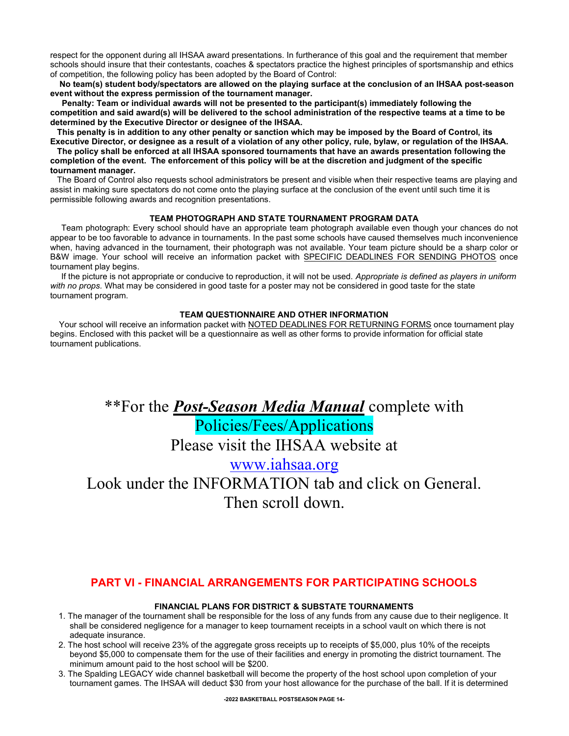respect for the opponent during all IHSAA award presentations. In furtherance of this goal and the requirement that member schools should insure that their contestants, coaches & spectators practice the highest principles of sportsmanship and ethics of competition, the following policy has been adopted by the Board of Control:

 No team(s) student body/spectators are allowed on the playing surface at the conclusion of an IHSAA post-season event without the express permission of the tournament manager.

 Penalty: Team or individual awards will not be presented to the participant(s) immediately following the competition and said award(s) will be delivered to the school administration of the respective teams at a time to be determined by the Executive Director or designee of the IHSAA.

 This penalty is in addition to any other penalty or sanction which may be imposed by the Board of Control, its Executive Director, or designee as a result of a violation of any other policy, rule, bylaw, or regulation of the IHSAA.

 The policy shall be enforced at all IHSAA sponsored tournaments that have an awards presentation following the completion of the event. The enforcement of this policy will be at the discretion and judgment of the specific tournament manager.

 The Board of Control also requests school administrators be present and visible when their respective teams are playing and assist in making sure spectators do not come onto the playing surface at the conclusion of the event until such time it is permissible following awards and recognition presentations.

#### TEAM PHOTOGRAPH AND STATE TOURNAMENT PROGRAM DATA

Team photograph: Every school should have an appropriate team photograph available even though your chances do not appear to be too favorable to advance in tournaments. In the past some schools have caused themselves much inconvenience when, having advanced in the tournament, their photograph was not available. Your team picture should be a sharp color or B&W image. Your school will receive an information packet with SPECIFIC DEADLINES FOR SENDING PHOTOS once tournament play begins.

If the picture is not appropriate or conducive to reproduction, it will not be used. Appropriate is defined as players in uniform with no props. What may be considered in good taste for a poster may not be considered in good taste for the state tournament program.

## TEAM QUESTIONNAIRE AND OTHER INFORMATION

Your school will receive an information packet with NOTED DEADLINES FOR RETURNING FORMS once tournament play begins. Enclosed with this packet will be a questionnaire as well as other forms to provide information for official state tournament publications.

\*\*For the **Post-Season Media Manual** complete with

# Policies/Fees/Applications

Please visit the IHSAA website at

www.iahsaa.org

Look under the INFORMATION tab and click on General. Then scroll down.

## PART VI - FINANCIAL ARRANGEMENTS FOR PARTICIPATING SCHOOLS

## FINANCIAL PLANS FOR DISTRICT & SUBSTATE TOURNAMENTS

- 1. The manager of the tournament shall be responsible for the loss of any funds from any cause due to their negligence. It shall be considered negligence for a manager to keep tournament receipts in a school vault on which there is not adequate insurance.
- 2. The host school will receive 23% of the aggregate gross receipts up to receipts of \$5,000, plus 10% of the receipts beyond \$5,000 to compensate them for the use of their facilities and energy in promoting the district tournament. The minimum amount paid to the host school will be \$200.
- 3. The Spalding LEGACY wide channel basketball will become the property of the host school upon completion of your tournament games. The IHSAA will deduct \$30 from your host allowance for the purchase of the ball. If it is determined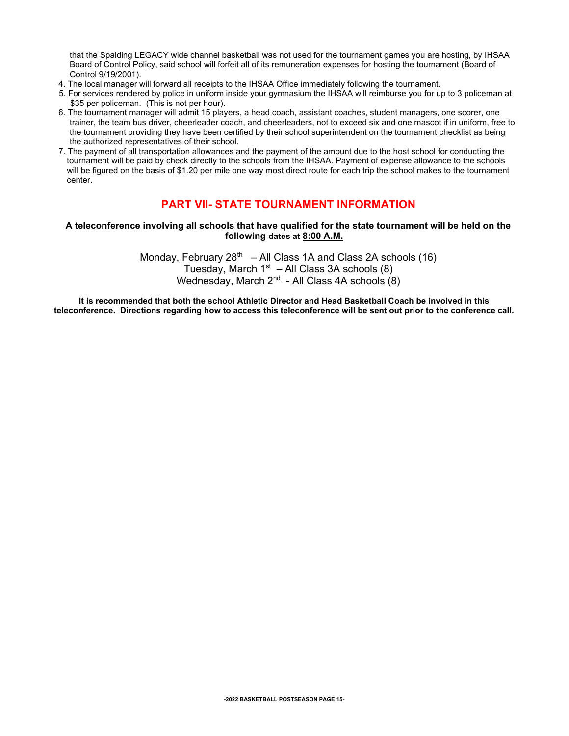that the Spalding LEGACY wide channel basketball was not used for the tournament games you are hosting, by IHSAA Board of Control Policy, said school will forfeit all of its remuneration expenses for hosting the tournament (Board of Control 9/19/2001).

- 4. The local manager will forward all receipts to the IHSAA Office immediately following the tournament.
- 5. For services rendered by police in uniform inside your gymnasium the IHSAA will reimburse you for up to 3 policeman at \$35 per policeman. (This is not per hour).
- 6. The tournament manager will admit 15 players, a head coach, assistant coaches, student managers, one scorer, one trainer, the team bus driver, cheerleader coach, and cheerleaders, not to exceed six and one mascot if in uniform, free to the tournament providing they have been certified by their school superintendent on the tournament checklist as being the authorized representatives of their school.
- 7. The payment of all transportation allowances and the payment of the amount due to the host school for conducting the tournament will be paid by check directly to the schools from the IHSAA. Payment of expense allowance to the schools will be figured on the basis of \$1.20 per mile one way most direct route for each trip the school makes to the tournament center.

## PART VII- STATE TOURNAMENT INFORMATION

## A teleconference involving all schools that have qualified for the state tournament will be held on the following dates at 8:00 A.M.

Monday, February 28<sup>th</sup> – All Class 1A and Class 2A schools (16) Tuesday, March  $1<sup>st</sup>$  – All Class 3A schools (8) Wednesday, March  $2^{nd}$  - All Class 4A schools  $(8)$ 

It is recommended that both the school Athletic Director and Head Basketball Coach be involved in this teleconference. Directions regarding how to access this teleconference will be sent out prior to the conference call.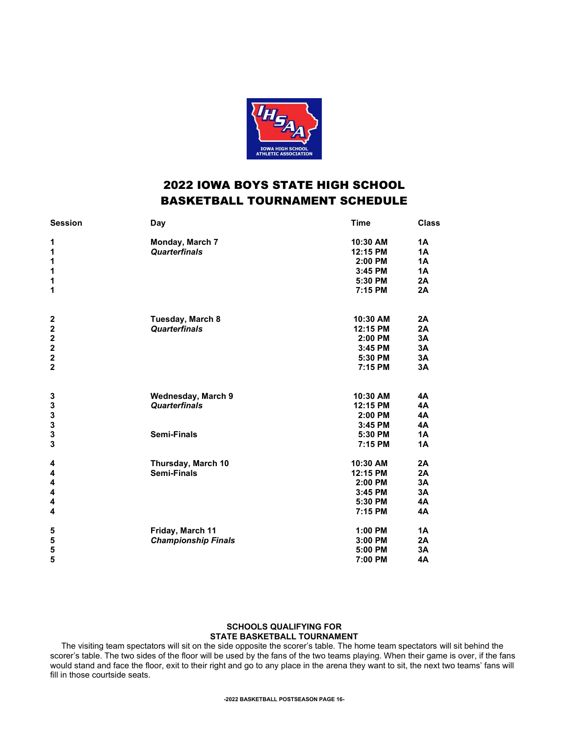

# 2022 IOWA BOYS STATE HIGH SCHOOL BASKETBALL TOURNAMENT SCHEDULE

| <b>Session</b>          | Day                        | <b>Time</b> | <b>Class</b> |
|-------------------------|----------------------------|-------------|--------------|
| 1                       | Monday, March 7            | 10:30 AM    | 1A           |
| 1                       | <b>Quarterfinals</b>       | 12:15 PM    | <b>1A</b>    |
| 1                       |                            | 2:00 PM     | <b>1A</b>    |
| 1                       |                            | 3:45 PM     | <b>1A</b>    |
| 1                       |                            | 5:30 PM     | 2A           |
| 1                       |                            | 7:15 PM     | 2A           |
| $\mathbf 2$             | Tuesday, March 8           | 10:30 AM    | 2A           |
| 2                       | <b>Quarterfinals</b>       | 12:15 PM    | 2A           |
| 2                       |                            | $2:00$ PM   | 3A           |
| $\overline{\mathbf{2}}$ |                            | 3:45 PM     | 3A           |
| $\mathbf 2$             |                            | 5:30 PM     | 3A           |
| $\overline{2}$          |                            | 7:15 PM     | 3A           |
| 3                       | Wednesday, March 9         | 10:30 AM    | 4A           |
|                         | <b>Quarterfinals</b>       | 12:15 PM    | 4A           |
| $\frac{3}{3}$           |                            | 2:00 PM     | 4A           |
|                         |                            | 3:45 PM     | 4A           |
| 3                       | <b>Semi-Finals</b>         | 5:30 PM     | <b>1A</b>    |
| 3                       |                            | 7:15 PM     | 1A           |
| 4                       | Thursday, March 10         | 10:30 AM    | 2A           |
| 4                       | <b>Semi-Finals</b>         | 12:15 PM    | 2A           |
| 4                       |                            | 2:00 PM     | 3A           |
| 4                       |                            | 3:45 PM     | 3A           |
| 4                       |                            | 5:30 PM     | 4A           |
| 4                       |                            | 7:15 PM     | 4A           |
| 5                       | Friday, March 11           | 1:00 PM     | <b>1A</b>    |
| 5                       | <b>Championship Finals</b> | 3:00 PM     | 2A           |
| 5                       |                            | 5:00 PM     | 3A           |
| 5                       |                            | 7:00 PM     | 4A           |

## SCHOOLS QUALIFYING FOR STATE BASKETBALL TOURNAMENT

The visiting team spectators will sit on the side opposite the scorer's table. The home team spectators will sit behind the scorer's table. The two sides of the floor will be used by the fans of the two teams playing. When their game is over, if the fans would stand and face the floor, exit to their right and go to any place in the arena they want to sit, the next two teams' fans will fill in those courtside seats.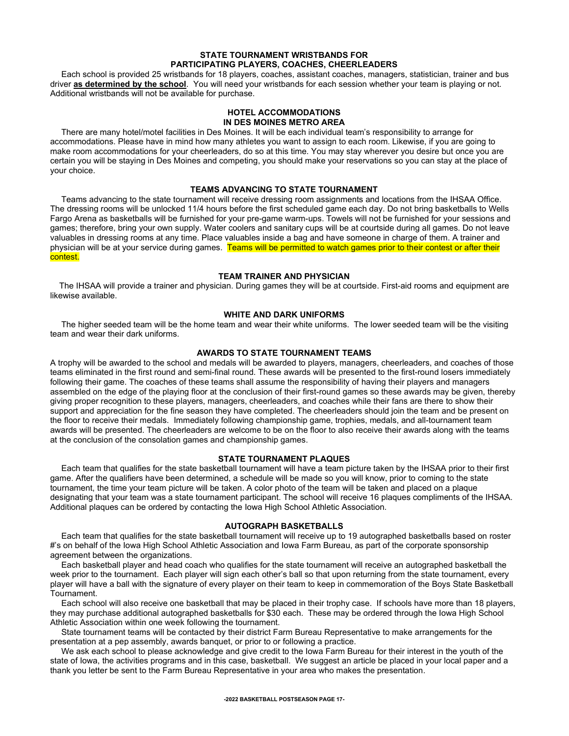## STATE TOURNAMENT WRISTBANDS FOR PARTICIPATING PLAYERS, COACHES, CHEERLEADERS

Each school is provided 25 wristbands for 18 players, coaches, assistant coaches, managers, statistician, trainer and bus driver **as determined by the school**. You will need your wristbands for each session whether your team is playing or not. Additional wristbands will not be available for purchase.

#### HOTEL ACCOMMODATIONS IN DES MOINES METRO AREA

There are many hotel/motel facilities in Des Moines. It will be each individual team's responsibility to arrange for accommodations. Please have in mind how many athletes you want to assign to each room. Likewise, if you are going to make room accommodations for your cheerleaders, do so at this time. You may stay wherever you desire but once you are certain you will be staying in Des Moines and competing, you should make your reservations so you can stay at the place of your choice.

## TEAMS ADVANCING TO STATE TOURNAMENT

Teams advancing to the state tournament will receive dressing room assignments and locations from the IHSAA Office. The dressing rooms will be unlocked 11/4 hours before the first scheduled game each day. Do not bring basketballs to Wells Fargo Arena as basketballs will be furnished for your pre-game warm-ups. Towels will not be furnished for your sessions and games; therefore, bring your own supply. Water coolers and sanitary cups will be at courtside during all games. Do not leave valuables in dressing rooms at any time. Place valuables inside a bag and have someone in charge of them. A trainer and physician will be at your service during games. Teams will be permitted to watch games prior to their contest or after their contest.

#### TEAM TRAINER AND PHYSICIAN

The IHSAA will provide a trainer and physician. During games they will be at courtside. First-aid rooms and equipment are likewise available.

#### WHITE AND DARK UNIFORMS

The higher seeded team will be the home team and wear their white uniforms. The lower seeded team will be the visiting team and wear their dark uniforms.

#### AWARDS TO STATE TOURNAMENT TEAMS

A trophy will be awarded to the school and medals will be awarded to players, managers, cheerleaders, and coaches of those teams eliminated in the first round and semi-final round. These awards will be presented to the first-round losers immediately following their game. The coaches of these teams shall assume the responsibility of having their players and managers assembled on the edge of the playing floor at the conclusion of their first-round games so these awards may be given, thereby giving proper recognition to these players, managers, cheerleaders, and coaches while their fans are there to show their support and appreciation for the fine season they have completed. The cheerleaders should join the team and be present on the floor to receive their medals. Immediately following championship game, trophies, medals, and all-tournament team awards will be presented. The cheerleaders are welcome to be on the floor to also receive their awards along with the teams at the conclusion of the consolation games and championship games.

## STATE TOURNAMENT PLAQUES

Each team that qualifies for the state basketball tournament will have a team picture taken by the IHSAA prior to their first game. After the qualifiers have been determined, a schedule will be made so you will know, prior to coming to the state tournament, the time your team picture will be taken. A color photo of the team will be taken and placed on a plaque designating that your team was a state tournament participant. The school will receive 16 plaques compliments of the IHSAA. Additional plaques can be ordered by contacting the Iowa High School Athletic Association.

#### AUTOGRAPH BASKETBALLS

Each team that qualifies for the state basketball tournament will receive up to 19 autographed basketballs based on roster #'s on behalf of the Iowa High School Athletic Association and Iowa Farm Bureau, as part of the corporate sponsorship agreement between the organizations.

Each basketball player and head coach who qualifies for the state tournament will receive an autographed basketball the week prior to the tournament. Each player will sign each other's ball so that upon returning from the state tournament, every player will have a ball with the signature of every player on their team to keep in commemoration of the Boys State Basketball Tournament.

Each school will also receive one basketball that may be placed in their trophy case. If schools have more than 18 players, they may purchase additional autographed basketballs for \$30 each. These may be ordered through the Iowa High School Athletic Association within one week following the tournament.

State tournament teams will be contacted by their district Farm Bureau Representative to make arrangements for the presentation at a pep assembly, awards banquet, or prior to or following a practice.

We ask each school to please acknowledge and give credit to the Iowa Farm Bureau for their interest in the youth of the state of Iowa, the activities programs and in this case, basketball. We suggest an article be placed in your local paper and a thank you letter be sent to the Farm Bureau Representative in your area who makes the presentation.